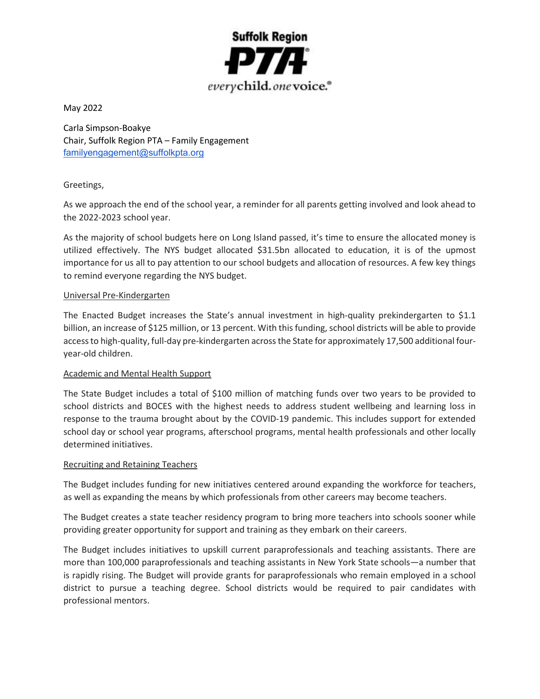

May 2022

Carla Simpson-Boakye Chair, Suffolk Region PTA – Family Engagement familyengagement@suffolkpta.org

# Greetings,

As we approach the end of the school year, a reminder for all parents getting involved and look ahead to the 2022-2023 school year.

As the majority of school budgets here on Long Island passed, it's time to ensure the allocated money is utilized effectively. The NYS budget allocated \$31.5bn allocated to education, it is of the upmost importance for us all to pay attention to our school budgets and allocation of resources. A few key things to remind everyone regarding the NYS budget.

## Universal Pre-Kindergarten

The Enacted Budget increases the State's annual investment in high-quality prekindergarten to \$1.1 billion, an increase of \$125 million, or 13 percent. With this funding, school districts will be able to provide access to high-quality, full-day pre-kindergarten across the State for approximately 17,500 additional fouryear-old children.

## Academic and Mental Health Support

The State Budget includes a total of \$100 million of matching funds over two years to be provided to school districts and BOCES with the highest needs to address student wellbeing and learning loss in response to the trauma brought about by the COVID-19 pandemic. This includes support for extended school day or school year programs, afterschool programs, mental health professionals and other locally determined initiatives.

## Recruiting and Retaining Teachers

The Budget includes funding for new initiatives centered around expanding the workforce for teachers, as well as expanding the means by which professionals from other careers may become teachers.

The Budget creates a state teacher residency program to bring more teachers into schools sooner while providing greater opportunity for support and training as they embark on their careers.

The Budget includes initiatives to upskill current paraprofessionals and teaching assistants. There are more than 100,000 paraprofessionals and teaching assistants in New York State schools—a number that is rapidly rising. The Budget will provide grants for paraprofessionals who remain employed in a school district to pursue a teaching degree. School districts would be required to pair candidates with professional mentors.